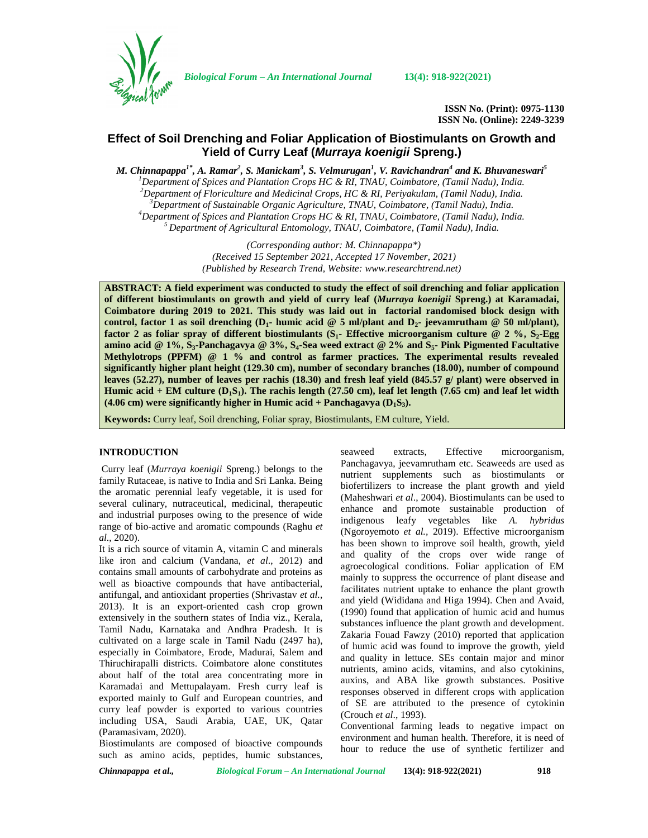

*Biological Forum – An International Journal* **13(4): 918-922(2021)**

**ISSN No. (Print): 0975-1130 ISSN No. (Online): 2249-3239**

# **Effect of Soil Drenching and Foliar Application of Biostimulants on Growth and Yield of Curry Leaf (***Murraya koenigii* **Spreng.)**

*M. Chinnapappa1\*, A. Ramar<sup>2</sup> , S. Manickam<sup>3</sup> , S. Velmurugan<sup>1</sup> , V. Ravichandran<sup>4</sup> and K. Bhuvaneswari<sup>5</sup>* <sup>1</sup>Department of Spices and Plantation Crops HC & RI, TNAU, Coimbatore, (Tamil Nadu), India.<br><sup>2</sup>Department of Floriculture and Medicinal Crops, HC & RI, Periyakulam, (Tamil Nadu), India.<br><sup>3</sup>Department of Sustainable Organ

> *(Corresponding author: M. Chinnapappa\*) (Received 15 September 2021, Accepted 17 November, 2021) (Published by Research Trend, Website: [www.researchtrend.net\)](www.researchtrend.net)*

**ABSTRACT: A field experiment was conducted to study the effect of soil drenching and foliar application of different biostimulants on growth and yield of curry leaf (***Murraya koenigii* **Spreng.) at Karamadai, Coimbatore during 2019 to 2021. This study was laid out in factorial randomised block design with control, factor 1** as soil drenching  $(D_1$ - **humic** acid @ 5 ml/plant and  $D_2$ - **jeevamrutham** @ 50 ml/plant), **factor 2 as foliar spray of different biostimulants (S1- Effective microorganism culture @ 2 %, S2-Egg amino acid @ 1%, S3-Panchagavya @ 3%, S4-Sea weed extract @ 2% and S5- Pink Pigmented Facultative Methylotrops (PPFM) @ 1 % and control as farmer practices. The experimental results revealed significantly higher plant height (129.30 cm), number of secondary branches (18.00), number of compound leaves (52.27), number of leaves per rachis (18.30) and fresh leaf yield (845.57 g/ plant) were observed in Humic acid + EM culture**  $(D_1S_1)$ **. The rachis length (27.50 cm), leaf let length (7.65 cm) and leaf let width (4.06 cm) were significantly higher in Humic acid + Panchagavya (D1S3).**

**Keywords:** Curry leaf, Soil drenching, Foliar spray, Biostimulants, EM culture, Yield.

#### **INTRODUCTION**

Curry leaf (*Murraya koenigii* Spreng.) belongs to the family Rutaceae, is native to India and Sri Lanka. Being the aromatic perennial leafy vegetable, it is used for several culinary, nutraceutical, medicinal, therapeutic and industrial purposes owing to the presence of wide range of bio-active and aromatic compounds (Raghu *et al*., 2020).

It is a rich source of vitamin A, vitamin C and minerals like iron and calcium (Vandana, *et al*., 2012) and contains small amounts of carbohydrate and proteins as well as bioactive compounds that have antibacterial, antifungal, and antioxidant properties (Shrivastav *et al.,* 2013). It is an export-oriented cash crop grown extensively in the southern states of India viz., Kerala, Tamil Nadu, Karnataka and Andhra Pradesh. It is cultivated on a large scale in Tamil Nadu (2497 ha), especially in Coimbatore, Erode, Madurai, Salem and Thiruchirapalli districts. Coimbatore alone constitutes about half of the total area concentrating more in Karamadai and Mettupalayam. Fresh curry leaf is exported mainly to Gulf and European countries, and curry leaf powder is exported to various countries including USA, Saudi Arabia, UAE, UK, Qatar (Paramasivam, 2020).

Biostimulants are composed of bioactive compounds such as amino acids, peptides, humic substances,

seaweed extracts, Effective microorganism, Panchagavya, jeevamrutham etc. Seaweeds are used as nutrient supplements such as biostimulants or biofertilizers to increase the plant growth and yield (Maheshwari *et al*., 2004). Biostimulants can be used to enhance and promote sustainable production of indigenous leafy vegetables like *A. hybridus* (Ngoroyemoto *et al.,* 2019). Effective microorganism has been shown to improve soil health, growth, yield and quality of the crops over wide range of agroecological conditions. Foliar application of EM mainly to suppress the occurrence of plant disease and facilitates nutrient uptake to enhance the plant growth and yield (Wididana and Higa 1994). Chen and Avaid, (1990) found that application of humic acid and humus substances influence the plant growth and development. Zakaria Fouad Fawzy (2010) reported that application of humic acid was found to improve the growth, yield and quality in lettuce. SEs contain major and minor nutrients, amino acids, vitamins, and also cytokinins, auxins, and ABA like growth substances. Positive responses observed in different crops with application of SE are attributed to the presence of cytokinin (Crouch *et al*., 1993).

Conventional farming leads to negative impact on environment and human health. Therefore, it is need of hour to reduce the use of synthetic fertilizer and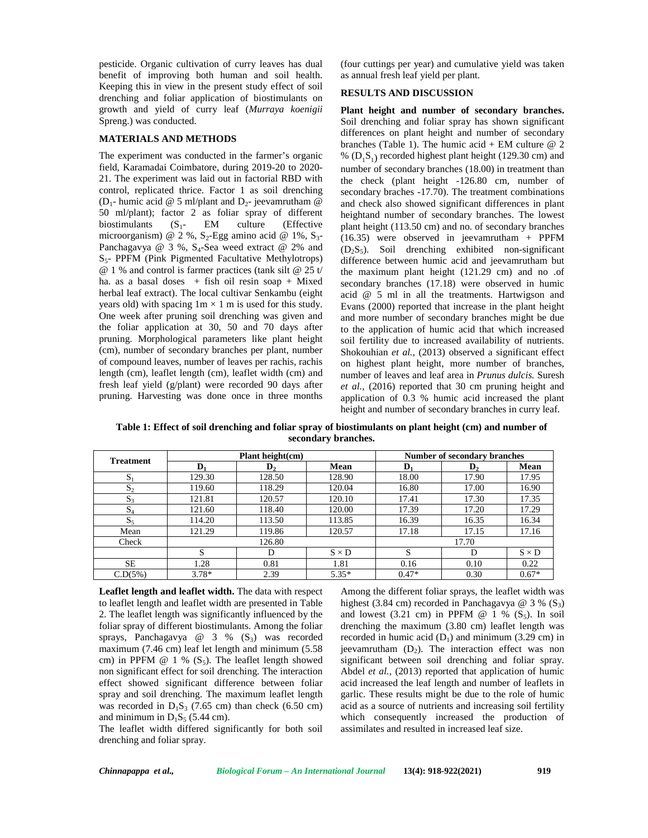pesticide. Organic cultivation of curry leaves has dual benefit of improving both human and soil health. Keeping this in view in the present study effect of soil drenching and foliar application of biostimulants on growth and yield of curry leaf (*Murraya koenigii* Spreng.) was conducted.

#### **MATERIALS AND METHODS**

The experiment was conducted in the farmer's organic field, Karamadai Coimbatore, during 2019-20 to 2020- 21. The experiment was laid out in factorial RBD with control, replicated thrice. Factor 1 as soil drenching (D<sub>1</sub>- humic acid @ 5 ml/plant and D<sub>2</sub>- jeevamrutham @ 50 ml/plant); factor 2 as foliar spray of different<br>biostimulants  $(S_1 - EM$  culture (Effective biostimulants  $(S_1 - EM \text{ culture})$ microorganism) @ 2 %,  $S_2$ -Egg amino acid @ 1%,  $S_3$ -Panchagavya @ 3 %,  $S_4$ -Sea weed extract @ 2% and S5- PPFM (Pink Pigmented Facultative Methylotrops) @ 1 % and control is farmer practices (tank silt @ 25 t/ ha. as a basal doses  $+$  fish oil resin soap  $+$  Mixed herbal leaf extract). The local cultivar Senkambu (eight years old) with spacing  $1m \times 1m$  is used for this study. One week after pruning soil drenching was given and the foliar application at 30, 50 and 70 days after pruning. Morphological parameters like plant height (cm), number of secondary branches per plant, number of compound leaves, number of leaves per rachis, rachis length (cm), leaflet length (cm), leaflet width (cm) and fresh leaf yield (g/plant) were recorded 90 days after pruning. Harvesting was done once in three months

(four cuttings per year) and cumulative yield was taken as annual fresh leaf yield per plant.

## **RESULTS AND DISCUSSION**

**Plant height and number of secondary branches.** Soil drenching and foliar spray has shown significant differences on plant height and number of secondary branches (Table 1). The humic acid + EM culture  $@$  2 %  $(D_1S_1)$  recorded highest plant height (129.30 cm) and number of secondary branches (18.00) in treatment than the check (plant height -126.80 cm, number of secondary braches -17.70). The treatment combinations and check also showed significant differences in plant heightand number of secondary branches. The lowest plant height (113.50 cm) and no. of secondary branches  $(16.35)$  were observed in jeevamrutham + PPFM  $(D_2S_5)$ . Soil drenching exhibited non-significant difference between humic acid and jeevamrutham but the maximum plant height (121.29 cm) and no .of secondary branches (17.18) were observed in humic acid @ 5 ml in all the treatments. Hartwigson and Evans (2000) reported that increase in the plant height and more number of secondary branches might be due to the application of humic acid that which increased soil fertility due to increased availability of nutrients. Shokouhian *et al.*, (2013) observed a significant effect on highest plant height, more number of branches, number of leaves and leaf area in *Prunus dulcis.* Suresh *et al.,* (2016) reported that 30 cm pruning height and application of 0.3 % humic acid increased the plant height and number of secondary branches in curry leaf.

**Table 1: Effect of soil drenching and foliar spray of biostimulants on plant height (cm) and number of secondary branches.**

| <b>Treatment</b> | Plant height(cm) |                |              | Number of secondary branches |       |              |
|------------------|------------------|----------------|--------------|------------------------------|-------|--------------|
|                  | D.               | $\mathbf{D}_2$ | Mean         | D                            | D,    | Mean         |
| $S_1$            | 129.30           | 128.50         | 128.90       | 18.00                        | 17.90 | 17.95        |
| $S_2$            | 119.60           | 118.29         | 120.04       | 16.80                        | 17.00 | 16.90        |
| $S_3$            | 121.81           | 120.57         | 120.10       | 17.41                        | 17.30 | 17.35        |
| $S_4$            | 121.60           | 118.40         | 120.00       | 17.39                        | 17.20 | 17.29        |
| $S_5$            | 114.20           | 113.50         | 113.85       | 16.39                        | 16.35 | 16.34        |
| Mean             | 121.29           | 119.86         | 120.57       | 17.18                        | 17.15 | 17.16        |
| Check            | 126.80           |                | 17.70        |                              |       |              |
|                  | S                | D              | $S \times D$ | S                            | D     | $S \times D$ |
| <b>SE</b>        | 1.28             | 0.81           | 1.81         | 0.16                         | 0.10  | 0.22         |
| C.D(5%)          | $3.78*$          | 2.39           | $5.35*$      | $0.47*$                      | 0.30  | $0.67*$      |

**Leaflet length and leaflet width.** The data with respect to leaflet length and leaflet width are presented in Table 2. The leaflet length was significantly influenced by the foliar spray of different biostimulants. Among the foliar sprays, Panchagavya @  $3 \%$  (S<sub>3</sub>) was recorded maximum (7.46 cm) leaf let length and minimum (5.58 cm) in PPFM  $@ 1 % (S_5)$ . The leaflet length showed non significant effect for soil drenching. The interaction effect showed significant difference between foliar spray and soil drenching. The maximum leaflet length was recorded in  $D_1S_3$  (7.65 cm) than check (6.50 cm) and minimum in  $D_1S_5$  (5.44 cm).

The leaflet width differed significantly for both soil drenching and foliar spray.

Among the different foliar sprays, the leaflet width was highest (3.84 cm) recorded in Panchagavya  $\omega$  3 % (S<sub>3</sub>) and lowest  $(3.21 \text{ cm})$  in PPFM @ 1 %  $(S_5)$ . In soil drenching the maximum (3.80 cm) leaflet length was recorded in humic acid  $(D_1)$  and minimum (3.29 cm) in jeevamrutham  $(D_2)$ . The interaction effect was non significant between soil drenching and foliar spray. Abdel *et al.,* (2013) reported that application of humic acid increased the leaf length and number of leaflets in garlic. These results might be due to the role of humic acid as a source of nutrients and increasing soil fertility which consequently increased the production of assimilates and resulted in increased leaf size.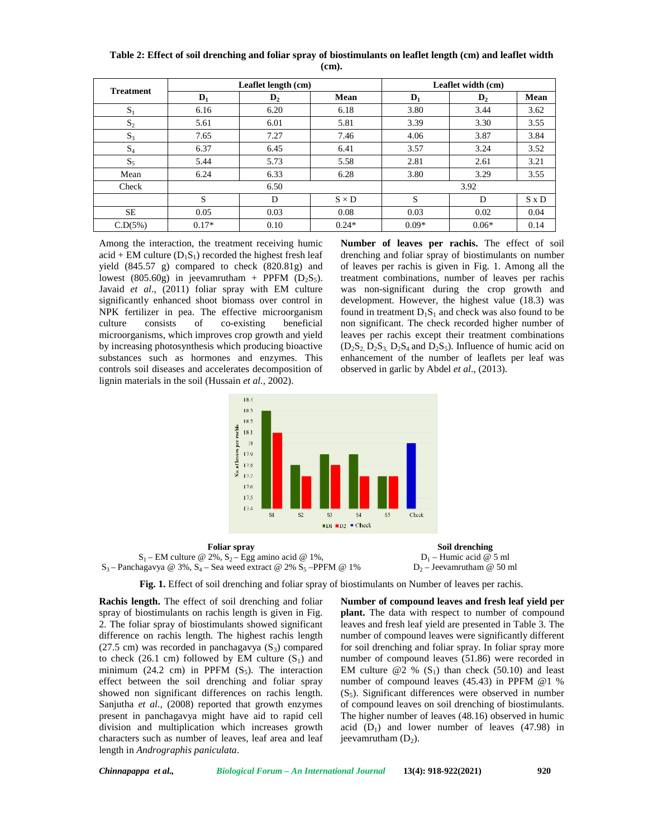| <b>Treatment</b> | Leaflet length (cm) |                |              | Leaflet width (cm) |                |              |
|------------------|---------------------|----------------|--------------|--------------------|----------------|--------------|
|                  | $D_1$               | $\mathbf{D}_2$ | Mean         | $\mathbf{D}_1$     | $\mathbf{D}_2$ | Mean         |
| $S_1$            | 6.16                | 6.20           | 6.18         | 3.80               | 3.44           | 3.62         |
| $S_2$            | 5.61                | 6.01           | 5.81         | 3.39               | 3.30           | 3.55         |
| $S_3$            | 7.65                | 7.27           | 7.46         | 4.06               | 3.87           | 3.84         |
| $S_4$            | 6.37                | 6.45           | 6.41         | 3.57               | 3.24           | 3.52         |
| $S_5$            | 5.44                | 5.73           | 5.58         | 2.81               | 2.61           | 3.21         |
| Mean             | 6.24                | 6.33           | 6.28         | 3.80               | 3.29           | 3.55         |
| Check            | 6.50                |                |              | 3.92               |                |              |
|                  | S                   | D              | $S \times D$ | S                  | D              | $S \times D$ |
| <b>SE</b>        | 0.05                | 0.03           | 0.08         | 0.03               | 0.02           | 0.04         |
| C.D(5%)          | $0.17*$             | 0.10           | $0.24*$      | $0.09*$            | $0.06*$        | 0.14         |

**Table 2: Effect of soil drenching and foliar spray of biostimulants on leaflet length (cm) and leaflet width (cm).**

Among the interaction, the treatment receiving humic acid + EM culture  $(D_1S_1)$  recorded the highest fresh leaf yield (845.57 g) compared to check (820.81g) and lowest (805.60g) in jeevamrutham + PPFM  $(D_2S_5)$ . Javaid *et al*., (2011) foliar spray with EM culture significantly enhanced shoot biomass over control in NPK fertilizer in pea. The effective microorganism culture consists of co-existing beneficial microorganisms, which improves crop growth and yield by increasing photosynthesis which producing bioactive substances such as hormones and enzymes. This controls soil diseases and accelerates decomposition of lignin materials in the soil (Hussain *et al.,* 2002).

**Number of leaves per rachis.** The effect of soil drenching and foliar spray of biostimulants on number of leaves per rachis is given in Fig.1. Among all the treatment combinations, number of leaves per rachis was non-significant during the crop growth and development. However, the highest value (18.3) was found in treatment  $D_1S_1$  and check was also found to be non significant. The check recorded higher number of leaves per rachis except their treatment combinations  $(D_2S_2, D_2S_3, D_2S_4, and D_2S_5)$ . Influence of humic acid on enhancement of the number of leaflets per leaf was observed in garlic by Abdel *et al*., (2013).







**Fig. 1.** Effect of soil drenching and foliar spray of biostimulants on Number of leaves per rachis.

**Rachis length.** The effect of soil drenching and foliar spray of biostimulants on rachis length is given in Fig. 2. The foliar spray of biostimulants showed significant difference on rachis length. The highest rachis length (27.5 cm) was recorded in panchagavya  $(S_3)$  compared to check (26.1 cm) followed by EM culture  $(S_1)$  and minimum (24.2 cm) in PPFM  $(S_5)$ . The interaction effect between the soil drenching and foliar spray showed non significant differences on rachis length. Sanjutha *et al.,* (2008) reported that growth enzymes present in panchagavya might have aid to rapid cell division and multiplication which increases growth characters such as number of leaves, leaf area and leaf length in *Andrographis paniculata*.

**Number of compound leaves and fresh leaf yield per plant.** The data with respect to number of compound leaves and fresh leaf yield are presented in Table 3. The number of compound leaves were significantly different for soil drenching and foliar spray. In foliar spray more number of compound leaves (51.86) were recorded in EM culture  $@2 \% (S_1)$  than check (50.10) and least number of compound leaves (45.43) in PPFM @1 %  $(S<sub>5</sub>)$ . Significant differences were observed in number of compound leaves on soil drenching of biostimulants. The higher number of leaves (48.16) observed in humic acid  $(D_1)$  and lower number of leaves (47.98) in jeevamrutham  $(D_2)$ .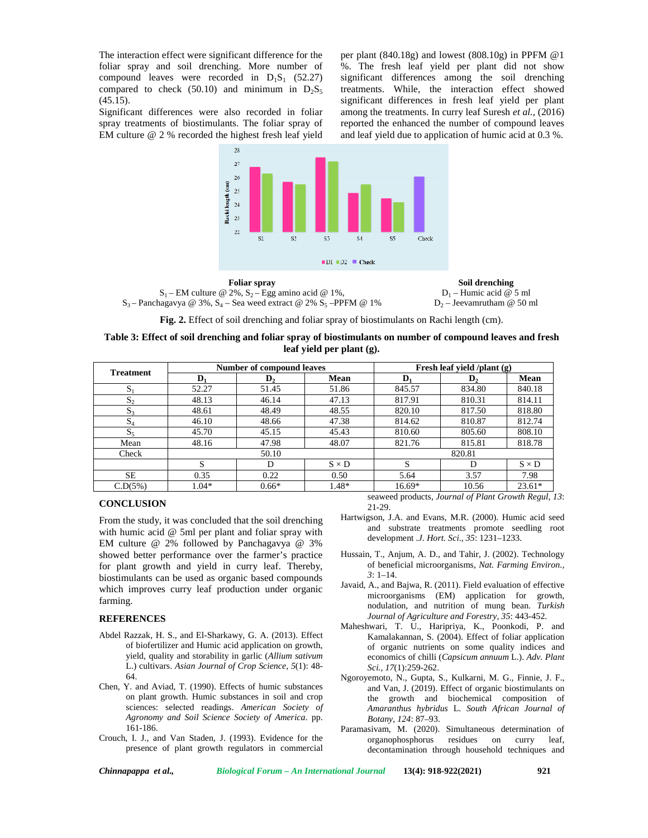The interaction effect were significant difference for the foliar spray and soil drenching. More number of compound leaves were recorded in  $D_1S_1$  (52.27) compared to check (50.10) and minimum in  $D_2S_5$  $(45.15).$ 

Significant differences were also recorded in foliar spray treatments of biostimulants. The foliar spray of EM culture @ 2 % recorded the highest fresh leaf yield

per plant  $(840.18g)$  and lowest  $(808.10g)$  in PPFM  $@1$ %. The fresh leaf yield per plant did not show significant differences among the soil drenching treatments. While, the interaction effect showed significant differences in fresh leaf yield per plant among the treatments. In curry leaf Suresh *et al.,* (2016) reported the enhanced the number of compound leaves and leaf yield due to application of humic acid at 0.3 %.



 $S_1$  – EM culture @ 2%,  $S_2$  – Egg amino acid @ 1%,  $S_3$  – Panchagavya @ 3%,  $S_4$  – Sea weed extract @ 2%  $S_5$  –PPFM @ 1%

**Foliar spray Soil drenching**  $D_1$  – Humic acid @ 5 ml  $D_2$  – Jeevamrutham @ 50 ml

**Fig. 2.** Effect of soil drenching and foliar spray of biostimulants on Rachi length (cm).

| Table 3: Effect of soil drenching and foliar spray of biostimulants on number of compound leaves and fresh |  |
|------------------------------------------------------------------------------------------------------------|--|
| leaf yield per plant (g).                                                                                  |  |

| <b>Treatment</b> | <b>Number of compound leaves</b> |                |              | Fresh leaf yield /plant (g) |                |              |
|------------------|----------------------------------|----------------|--------------|-----------------------------|----------------|--------------|
|                  | D,                               | $\mathbf{D}_2$ | Mean         | D.                          | $\mathbf{D}_2$ | Mean         |
| $S_1$            | 52.27                            | 51.45          | 51.86        | 845.57                      | 834.80         | 840.18       |
| $S_{2}$          | 48.13                            | 46.14          | 47.13        | 817.91                      | 810.31         | 814.11       |
| $S_3$            | 48.61                            | 48.49          | 48.55        | 820.10                      | 817.50         | 818.80       |
| $S_4$            | 46.10                            | 48.66          | 47.38        | 814.62                      | 810.87         | 812.74       |
| D5               | 45.70                            | 45.15          | 45.43        | 810.60                      | 805.60         | 808.10       |
| Mean             | 48.16                            | 47.98          | 48.07        | 821.76                      | 815.81         | 818.78       |
| Check            | 50.10                            |                |              | 820.81                      |                |              |
|                  | S                                | D              | $S \times D$ |                             | D              | $S \times D$ |
| <b>SE</b>        | 0.35                             | 0.22           | 0.50         | 5.64                        | 3.57           | 7.98         |
| C.D(5%)          | $1.04*$                          | $0.66*$        | 1.48*        | $16.69*$                    | 10.56          | $23.61*$     |

## **CONCLUSION**

From the study, it was concluded that the soil drenching with humic acid @ 5ml per plant and foliar spray with EM culture @ 2% followed by Panchagavya @ 3% showed better performance over the farmer's practice for plant growth and yield in curry leaf. Thereby, biostimulants can be used as organic based compounds which improves curry leaf production under organic farming.

### **REFERENCES**

- Abdel Razzak, H. S., and El-Sharkawy, G. A. (2013). Effect of biofertilizer and Humic acid application on growth, yield, quality and storability in garlic (*Allium sativum* L.) cultivars. *Asian Journal of Crop Science*, *5*(1): 48- 64.
- Chen, Y. and Aviad, T. (1990). Effects of humic substances on plant growth. Humic substances in soil and crop sciences: selected readings. *American Society of Agronomy and Soil Science Society of America*. pp. 161-186.
- Crouch, I. J., and Van Staden, J. (1993). Evidence for the presence of plant growth regulators in commercial

seaweed products, *Journal of Plant Growth Regul*, *13*: 21-29.

- Hartwigson, J.A. and Evans, M.R. (2000). Humic acid seed and substrate treatments promote seedling root development .*J. Hort. Sci*., *35*: 1231–1233.
- Hussain, T., Anjum, A. D., and Tahir, J. (2002). Technology of beneficial microorganisms, *Nat. Farming Environ., 3*: 1–14.
- Javaid, A., and Bajwa, R. (2011). Field evaluation of effective microorganisms (EM) application for growth, nodulation, and nutrition of mung bean. *Turkish Journal of Agriculture and Forestry, 35*: 443-452.
- Maheshwari, T. U., Haripriya, K., Poonkodi, P. and Kamalakannan, S. (2004). Effect of foliar application of organic nutrients on some quality indices and economics of chilli (*Capsicum annuum* L.). *Adv. Plant Sci., 17*(1):259-262.
- Ngoroyemoto, N., Gupta, S., Kulkarni, M. G., Finnie, J. F., and Van, J. (2019). Effect of organic biostimulants on the growth and biochemical composition of *Amaranthus hybridus* L. *South African Journal of Botany*, *124*: 87–93.
- Paramasivam, M. (2020). Simultaneous determination of organophosphorus residues on curry leaf, decontamination through household techniques and